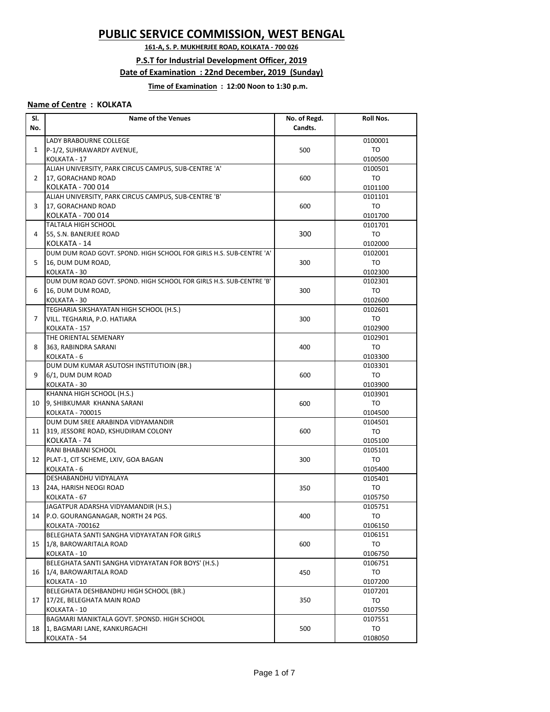# **PUBLIC SERVICE COMMISSION, WEST BENGAL**

**161-A, S. P. MUKHERJEE ROAD, KOLKATA - 700 026**

#### **P.S.T for Industrial Development Officer, 2019**

#### **Date of Examination : 22nd December, 2019 (Sunday)**

### **Time of Examination : 12:00 Noon to 1:30 p.m.**

## **Name of Centre : KOLKATA**

| SI.<br>No.     | <b>Name of the Venues</b>                                           | No. of Regd.<br>Candts. | <b>Roll Nos.</b>   |
|----------------|---------------------------------------------------------------------|-------------------------|--------------------|
|                |                                                                     |                         |                    |
| 1              | LADY BRABOURNE COLLEGE                                              |                         | 0100001            |
|                | P-1/2, SUHRAWARDY AVENUE,                                           | 500                     | TO                 |
|                | KOLKATA - 17                                                        |                         | 0100500            |
|                | ALIAH UNIVERSITY, PARK CIRCUS CAMPUS, SUB-CENTRE 'A'                |                         | 0100501            |
| $\overline{2}$ | 17, GORACHAND ROAD                                                  | 600                     | TO                 |
|                | KOLKATA - 700 014                                                   |                         | 0101100            |
|                | ALIAH UNIVERSITY, PARK CIRCUS CAMPUS, SUB-CENTRE 'B'                |                         | 0101101            |
| 3              | 17, GORACHAND ROAD                                                  | 600                     | TO                 |
|                | KOLKATA - 700 014                                                   |                         | 0101700            |
|                | TALTALA HIGH SCHOOL<br>55, S.N. BANERJEE ROAD                       | 300                     | 0101701            |
| 4              | KOLKATA - 14                                                        |                         | TO                 |
|                | DUM DUM ROAD GOVT. SPOND. HIGH SCHOOL FOR GIRLS H.S. SUB-CENTRE 'A' |                         | 0102000<br>0102001 |
| 5              | 16, DUM DUM ROAD,                                                   | 300                     | TO                 |
|                | KOLKATA - 30                                                        |                         | 0102300            |
|                | DUM DUM ROAD GOVT. SPOND. HIGH SCHOOL FOR GIRLS H.S. SUB-CENTRE 'B' |                         | 0102301            |
| 6              | 16, DUM DUM ROAD,                                                   | 300                     | TO                 |
|                | KOLKATA - 30                                                        |                         | 0102600            |
|                | TEGHARIA SIKSHAYATAN HIGH SCHOOL (H.S.)                             |                         | 0102601            |
| $\overline{7}$ | VILL. TEGHARIA, P.O. HATIARA                                        | 300                     | TO                 |
|                | KOLKATA - 157                                                       |                         | 0102900            |
|                | THE ORIENTAL SEMENARY                                               |                         | 0102901            |
| 8              | 363, RABINDRA SARANI                                                | 400                     | TO                 |
|                | KOLKATA - 6                                                         |                         | 0103300            |
|                | DUM DUM KUMAR ASUTOSH INSTITUTIOIN (BR.)                            |                         | 0103301            |
| 9              | 6/1, DUM DUM ROAD                                                   | 600                     | TO                 |
|                | KOLKATA - 30                                                        |                         | 0103900            |
|                | KHANNA HIGH SCHOOL (H.S.)                                           |                         | 0103901            |
| 10             | 9, SHIBKUMAR KHANNA SARANI                                          | 600                     | TO                 |
|                | KOLKATA - 700015                                                    |                         | 0104500            |
|                | DUM DUM SREE ARABINDA VIDYAMANDIR                                   |                         | 0104501            |
| 11             | 319, JESSORE ROAD, KSHUDIRAM COLONY                                 | 600                     | TO                 |
|                | KOLKATA - 74                                                        |                         | 0105100            |
|                | RANI BHABANI SCHOOL                                                 |                         | 0105101            |
| 12             | PLAT-1, CIT SCHEME, LXIV, GOA BAGAN                                 | 300                     | <b>TO</b>          |
|                | KOLKATA - 6                                                         |                         | 0105400            |
|                | DESHABANDHU VIDYALAYA                                               |                         | 0105401            |
| 13             | 24A, HARISH NEOGI ROAD                                              | 350                     | TO                 |
|                | KOLKATA - 67                                                        |                         | 0105750            |
|                | JAGATPUR ADARSHA VIDYAMANDIR (H.S.)                                 |                         | 0105751            |
| 14             | P.O. GOURANGANAGAR, NORTH 24 PGS.                                   | 400                     | TO                 |
|                | KOLKATA - 700162                                                    |                         | 0106150            |
|                | BELEGHATA SANTI SANGHA VIDYAYATAN FOR GIRLS                         |                         | 0106151            |
| 15             | 1/8, BAROWARITALA ROAD                                              | 600                     | TO                 |
|                | KOLKATA - 10                                                        |                         | 0106750            |
|                | BELEGHATA SANTI SANGHA VIDYAYATAN FOR BOYS' (H.S.)                  |                         | 0106751            |
| 16             | 1/4, BAROWARITALA ROAD                                              | 450                     | TO                 |
|                | KOLKATA - 10                                                        |                         | 0107200            |
|                | BELEGHATA DESHBANDHU HIGH SCHOOL (BR.)                              |                         | 0107201            |
| 17             | 17/2E, BELEGHATA MAIN ROAD                                          | 350                     | TO                 |
|                | KOLKATA - 10                                                        |                         | 0107550            |
| 18             | BAGMARI MANIKTALA GOVT. SPONSD. HIGH SCHOOL                         |                         | 0107551            |
|                | 1, BAGMARI LANE, KANKURGACHI                                        | 500                     | TO                 |
|                | KOLKATA - 54                                                        |                         | 0108050            |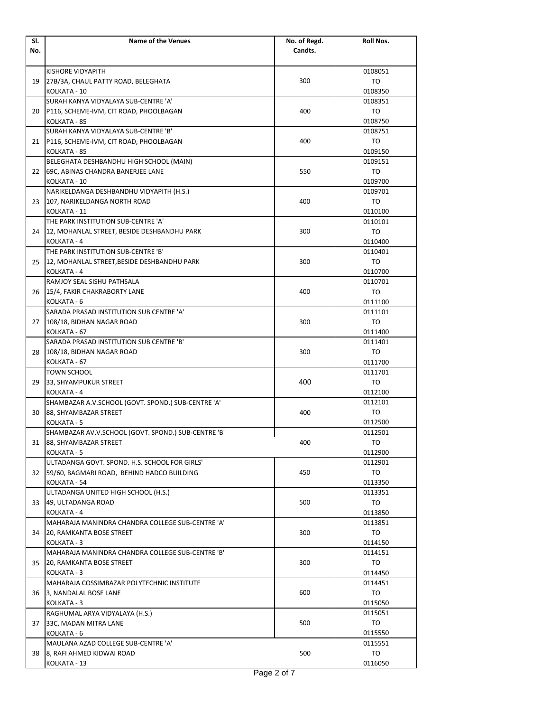| SI. | <b>Name of the Venues</b>                           | No. of Regd. | <b>Roll Nos.</b>   |
|-----|-----------------------------------------------------|--------------|--------------------|
| No. |                                                     | Candts.      |                    |
|     |                                                     |              |                    |
|     | KISHORE VIDYAPITH                                   |              | 0108051            |
| 19  | 27B/3A, CHAUL PATTY ROAD, BELEGHATA                 | 300          | TO                 |
|     | KOLKATA - 10                                        |              | 0108350            |
|     | SURAH KANYA VIDYALAYA SUB-CENTRE 'A'                |              | 0108351            |
| 20  | P116, SCHEME-IVM, CIT ROAD, PHOOLBAGAN              | 400          | TO                 |
|     | KOLKATA - 85                                        |              | 0108750            |
|     | SURAH KANYA VIDYALAYA SUB-CENTRE 'B'                |              | 0108751            |
| 21  | P116, SCHEME-IVM, CIT ROAD, PHOOLBAGAN              | 400          | TO                 |
|     | KOLKATA - 85                                        |              | 0109150            |
|     | BELEGHATA DESHBANDHU HIGH SCHOOL (MAIN)             |              | 0109151            |
| 22  | 69C, ABINAS CHANDRA BANERJEE LANE                   | 550          | TO                 |
|     | KOLKATA - 10                                        |              | 0109700            |
|     | NARIKELDANGA DESHBANDHU VIDYAPITH (H.S.)            |              | 0109701            |
| 23  | 107, NARIKELDANGA NORTH ROAD                        | 400          | TO                 |
|     | KOLKATA - 11                                        |              | 0110100            |
|     | THE PARK INSTITUTION SUB-CENTRE 'A'                 |              | 0110101            |
| 24  | 12, MOHANLAL STREET, BESIDE DESHBANDHU PARK         | 300          | TO                 |
|     | KOLKATA - 4                                         |              | 0110400            |
|     | THE PARK INSTITUTION SUB-CENTRE 'B'                 |              | 0110401            |
| 25  | 12, MOHANLAL STREET, BESIDE DESHBANDHU PARK         | 300          | TO                 |
|     | KOLKATA - 4                                         |              |                    |
|     | RAMJOY SEAL SISHU PATHSALA                          |              | 0110700<br>0110701 |
|     |                                                     | 400          |                    |
| 26  | 15/4, FAKIR CHAKRABORTY LANE                        |              | TO                 |
|     | KOLKATA - 6                                         |              | 0111100            |
|     | SARADA PRASAD INSTITUTION SUB CENTRE 'A'            |              | 0111101            |
| 27  | 108/18, BIDHAN NAGAR ROAD                           | 300          | TO                 |
|     | KOLKATA - 67                                        |              | 0111400            |
|     | SARADA PRASAD INSTITUTION SUB CENTRE 'B'            |              | 0111401            |
| 28  | 108/18, BIDHAN NAGAR ROAD                           | 300          | TO                 |
|     | KOLKATA - 67                                        |              | 0111700            |
|     | TOWN SCHOOL                                         |              | 0111701            |
| 29  | 33, SHYAMPUKUR STREET                               | 400          | <b>TO</b>          |
|     | KOLKATA - 4                                         |              | 0112100            |
|     | SHAMBAZAR A.V.SCHOOL (GOVT. SPOND.) SUB-CENTRE 'A'  |              | 0112101            |
| 30  | 88, SHYAMBAZAR STREET                               | 400          | TO                 |
|     | KOLKATA - 5                                         |              | 0112500            |
|     | SHAMBAZAR AV.V.SCHOOL (GOVT. SPOND.) SUB-CENTRE 'B' |              | 0112501            |
| 31  | 88, SHYAMBAZAR STREET                               | 400          | TO                 |
|     | KOLKATA - 5                                         |              | 0112900            |
|     | ULTADANGA GOVT. SPOND. H.S. SCHOOL FOR GIRLS'       |              | 0112901            |
| 32  | 59/60, BAGMARI ROAD, BEHIND HADCO BUILDING          | 450          | TO                 |
|     | KOLKATA - 54                                        |              | 0113350            |
|     | ULTADANGA UNITED HIGH SCHOOL (H.S.)                 |              | 0113351            |
| 33  | 49, ULTADANGA ROAD                                  | 500          | TO                 |
|     | KOLKATA - 4                                         |              | 0113850            |
|     | MAHARAJA MANINDRA CHANDRA COLLEGE SUB-CENTRE 'A'    |              | 0113851            |
| 34  | 20, RAMKANTA BOSE STREET                            | 300          | TO                 |
|     | KOLKATA - 3                                         |              | 0114150            |
|     | MAHARAJA MANINDRA CHANDRA COLLEGE SUB-CENTRE 'B'    |              | 0114151            |
| 35  | 20, RAMKANTA BOSE STREET                            | 300          | TO                 |
|     | KOLKATA - 3                                         |              | 0114450            |
|     | MAHARAJA COSSIMBAZAR POLYTECHNIC INSTITUTE          |              | 0114451            |
| 36  | 3, NANDALAL BOSE LANE                               | 600          | TO                 |
|     | KOLKATA - 3                                         |              | 0115050            |
|     | RAGHUMAL ARYA VIDYALAYA (H.S.)                      |              | 0115051            |
| 37  | 33C, MADAN MITRA LANE                               | 500          | TO                 |
|     | KOLKATA - 6                                         |              | 0115550            |
| 38  | MAULANA AZAD COLLEGE SUB-CENTRE 'A'                 |              | 0115551            |
|     | 8, RAFI AHMED KIDWAI ROAD                           | 500          | TO                 |
|     | KOLKATA - 13                                        |              | 0116050            |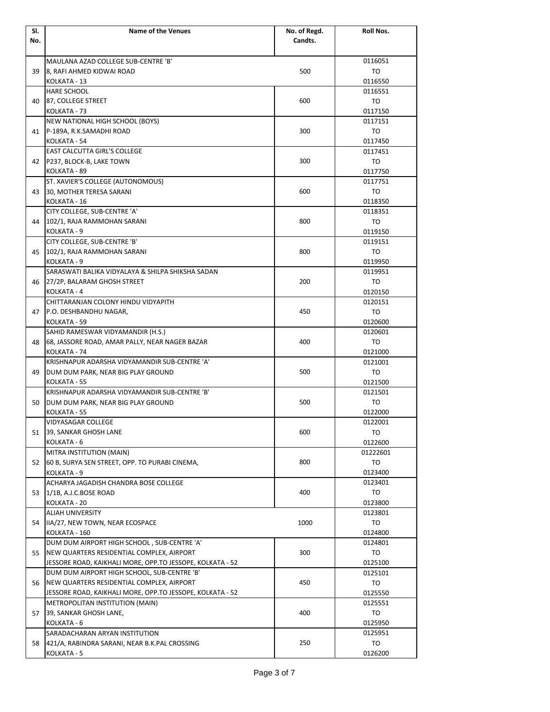| SI. | <b>Name of the Venues</b>                                        | No. of Regd. | Roll Nos.          |
|-----|------------------------------------------------------------------|--------------|--------------------|
| No. |                                                                  | Candts.      |                    |
|     |                                                                  |              |                    |
|     | MAULANA AZAD COLLEGE SUB-CENTRE 'B'                              |              | 0116051<br>TO      |
| 39  | 8, RAFI AHMED KIDWAI ROAD<br>KOLKATA - 13                        | 500          | 0116550            |
|     | <b>HARE SCHOOL</b>                                               |              | 0116551            |
| 40  | 87, COLLEGE STREET                                               | 600          | TO                 |
|     | KOLKATA - 73                                                     |              | 0117150            |
|     | NEW NATIONAL HIGH SCHOOL (BOYS)                                  |              | 0117151            |
| 41  | P-189A, R.K.SAMADHI ROAD                                         | 300          | TO                 |
|     | KOLKATA - 54                                                     |              | 0117450            |
|     | <b>EAST CALCUTTA GIRL'S COLLEGE</b>                              |              | 0117451            |
| 42  | P237, BLOCK-B, LAKE TOWN                                         | 300          | TO                 |
|     | KOLKATA - 89                                                     |              | 0117750            |
|     | ST. XAVIER'S COLLEGE (AUTONOMOUS)                                |              | 0117751            |
| 43  | 30, MOTHER TERESA SARANI                                         | 600          | TO                 |
|     | KOLKATA - 16                                                     |              | 0118350            |
|     | CITY COLLEGE, SUB-CENTRE 'A'                                     |              | 0118351            |
| 44  | 102/1, RAJA RAMMOHAN SARANI                                      | 800          | TO                 |
|     | KOLKATA - 9                                                      |              | 0119150            |
|     | CITY COLLEGE, SUB-CENTRE 'B'                                     |              | 0119151            |
| 45  | 102/1, RAJA RAMMOHAN SARANI                                      | 800          | TO                 |
|     | KOLKATA - 9<br>SARASWATI BALIKA VIDYALAYA & SHILPA SHIKSHA SADAN |              | 0119950            |
| 46  | 27/2P, BALARAM GHOSH STREET                                      | 200          | 0119951<br>TO      |
|     | KOLKATA - 4                                                      |              | 0120150            |
|     | CHITTARANJAN COLONY HINDU VIDYAPITH                              |              | 0120151            |
| 47  | P.O. DESHBANDHU NAGAR,                                           | 450          | TO                 |
|     | KOLKATA - 59                                                     |              | 0120600            |
|     | SAHID RAMESWAR VIDYAMANDIR (H.S.)                                |              | 0120601            |
| 48  | 68, JASSORE ROAD, AMAR PALLY, NEAR NAGER BAZAR                   | 400          | TO                 |
|     | KOLKATA - 74                                                     |              | 0121000            |
|     | KRISHNAPUR ADARSHA VIDYAMANDIR SUB-CENTRE 'A'                    |              | 0121001            |
| 49  | DUM DUM PARK, NEAR BIG PLAY GROUND                               | 500          | TO                 |
|     | KOLKATA - 55                                                     |              | 0121500            |
|     | KRISHNAPUR ADARSHA VIDYAMANDIR SUB-CENTRE 'B'                    |              | 0121501            |
| 50  | DUM DUM PARK, NEAR BIG PLAY GROUND                               | 500          | TO                 |
|     | KOLKATA - 55                                                     |              | 0122000            |
|     | <b>VIDYASAGAR COLLEGE</b>                                        |              | 0122001            |
| 51  | 39, SANKAR GHOSH LANE                                            | 600          | TO                 |
|     | KOLKATA - 6                                                      |              | 0122600            |
|     | MITRA INSTITUTION (MAIN)                                         |              | 01222601           |
| 52  | 60 B, SURYA SEN STREET, OPP. TO PURABI CINEMA,                   | 800          | TO                 |
|     | KOLKATA - 9                                                      |              | 0123400            |
|     | ACHARYA JAGADISH CHANDRA BOSE COLLEGE                            |              | 0123401            |
| 53  | 1/1B, A.J.C.BOSE ROAD                                            | 400          | TO                 |
|     | KOLKATA - 20<br>ALIAH UNIVERSITY                                 |              | 0123800<br>0123801 |
| 54  | IIA/27, NEW TOWN, NEAR ECOSPACE                                  | 1000         | TO                 |
|     | KOLKATA - 160                                                    |              | 0124800            |
|     | DUM DUM AIRPORT HIGH SCHOOL, SUB-CENTRE 'A'                      |              | 0124801            |
| 55  | NEW QUARTERS RESIDENTIAL COMPLEX, AIRPORT                        | 300          | TO                 |
|     | JESSORE ROAD, KAIKHALI MORE, OPP.TO JESSOPE, KOLKATA - 52        |              | 0125100            |
|     | DUM DUM AIRPORT HIGH SCHOOL, SUB-CENTRE 'B'                      |              | 0125101            |
| 56  | NEW QUARTERS RESIDENTIAL COMPLEX, AIRPORT                        | 450          | TO                 |
|     | JESSORE ROAD, KAIKHALI MORE, OPP.TO JESSOPE, KOLKATA - 52        |              | 0125550            |
|     | METROPOLITAN INSTITUTION (MAIN)                                  |              | 0125551            |
| 57  | 39, SANKAR GHOSH LANE,                                           | 400          | TO                 |
|     | KOLKATA - 6                                                      |              | 0125950            |
| 58  | SARADACHARAN ARYAN INSTITUTION                                   |              | 0125951            |
|     | 421/A, RABINDRA SARANI, NEAR B.K.PAL CROSSING                    | 250          | TO                 |
|     | KOLKATA - 5                                                      |              | 0126200            |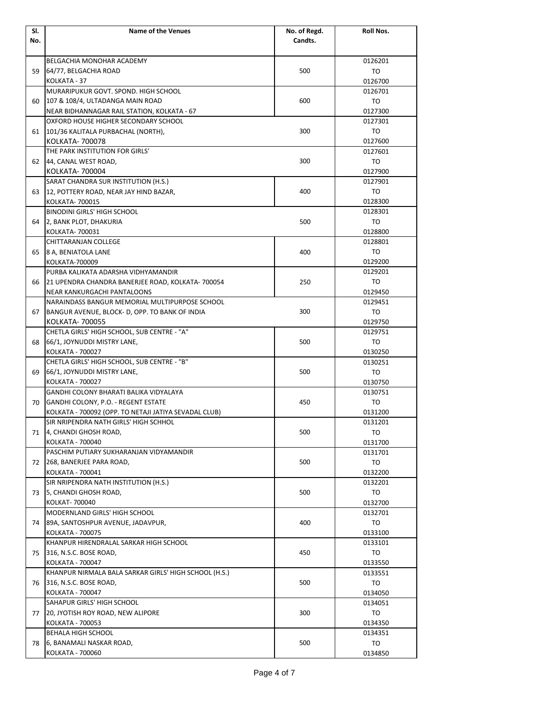| SI. | <b>Name of the Venues</b>                                       | No. of Regd. | Roll Nos. |
|-----|-----------------------------------------------------------------|--------------|-----------|
| No. |                                                                 | Candts.      |           |
|     |                                                                 |              |           |
|     | BELGACHIA MONOHAR ACADEMY                                       |              | 0126201   |
| 59  | 64/77, BELGACHIA ROAD                                           | 500          | TO        |
|     | KOLKATA - 37                                                    |              | 0126700   |
|     | MURARIPUKUR GOVT, SPOND, HIGH SCHOOL                            |              | 0126701   |
| 60  | 107 & 108/4, ULTADANGA MAIN ROAD                                | 600          | TO        |
|     | NEAR BIDHANNAGAR RAIL STATION, KOLKATA - 67                     |              | 0127300   |
|     | OXFORD HOUSE HIGHER SECONDARY SCHOOL                            |              | 0127301   |
| 61  | 101/36 KALITALA PURBACHAL (NORTH),                              | 300          | TO        |
|     | KOLKATA- 700078                                                 |              | 0127600   |
|     | THE PARK INSTITUTION FOR GIRLS'                                 |              | 0127601   |
| 62  | 44, CANAL WEST ROAD,                                            | 300          | TO        |
|     | KOLKATA- 700004                                                 |              | 0127900   |
|     | SARAT CHANDRA SUR INSTITUTION (H.S.)                            |              | 0127901   |
| 63  | 12, POTTERY ROAD, NEAR JAY HIND BAZAR,                          | 400          | TO        |
|     | KOLKATA- 700015                                                 |              | 0128300   |
|     | <b>BINODINI GIRLS' HIGH SCHOOL</b>                              |              | 0128301   |
| 64  | 2, BANK PLOT, DHAKURIA                                          | 500          | TO        |
|     | KOLKATA- 700031                                                 |              | 0128800   |
|     | CHITTARANJAN COLLEGE                                            |              | 0128801   |
| 65  | 8 A, BENIATOLA LANE                                             | 400          | TO        |
|     | KOLKATA-700009                                                  |              | 0129200   |
|     | PURBA KALIKATA ADARSHA VIDHYAMANDIR                             |              | 0129201   |
| 66  | 21 UPENDRA CHANDRA BANERJEE ROAD, KOLKATA-700054                | 250          | TO        |
|     | NEAR KANKURGACHI PANTALOONS                                     |              | 0129450   |
|     | NARAINDASS BANGUR MEMORIAL MULTIPURPOSE SCHOOL                  |              | 0129451   |
| 67  | BANGUR AVENUE, BLOCK- D, OPP. TO BANK OF INDIA                  | 300          | TO        |
|     | KOLKATA- 700055                                                 |              | 0129750   |
|     | CHETLA GIRLS' HIGH SCHOOL, SUB CENTRE - "A"                     |              | 0129751   |
|     | 66/1, JOYNUDDI MISTRY LANE,                                     | 500          | TO        |
| 68  |                                                                 |              |           |
|     | KOLKATA - 700027<br>CHETLA GIRLS' HIGH SCHOOL, SUB CENTRE - "B" |              | 0130250   |
|     |                                                                 |              | 0130251   |
| 69  | 66/1, JOYNUDDI MISTRY LANE,                                     | 500          | TO        |
|     | KOLKATA - 700027                                                |              | 0130750   |
|     | GANDHI COLONY BHARATI BALIKA VIDYALAYA                          |              | 0130751   |
| 70  | GANDHI COLONY, P.O. - REGENT ESTATE                             | 450          | TO        |
|     | KOLKATA - 700092 (OPP. TO NETAJI JATIYA SEVADAL CLUB)           |              | 0131200   |
|     | SIR NRIPENDRA NATH GIRLS' HIGH SCHHOL                           |              | 0131201   |
| 71  | 4, CHANDI GHOSH ROAD,                                           | 500          | то        |
|     | KOLKATA - 700040                                                |              | 0131700   |
|     | PASCHIM PUTIARY SUKHARANJAN VIDYAMANDIR                         |              | 0131701   |
| 72  | 268, BANERJEE PARA ROAD,                                        | 500          | то        |
|     | KOLKATA - 700041                                                |              | 0132200   |
|     | SIR NRIPENDRA NATH INSTITUTION (H.S.)                           |              | 0132201   |
| 73  | 5, CHANDI GHOSH ROAD,                                           | 500          | TO        |
|     | KOLKAT- 700040                                                  |              | 0132700   |
|     | MODERNLAND GIRLS' HIGH SCHOOL                                   |              | 0132701   |
| 74  | 89A, SANTOSHPUR AVENUE, JADAVPUR,                               | 400          | TO        |
|     | KOLKATA - 700075                                                |              | 0133100   |
|     | KHANPUR HIRENDRALAL SARKAR HIGH SCHOOL                          |              | 0133101   |
| 75  | 316, N.S.C. BOSE ROAD,                                          | 450          | TO        |
|     | KOLKATA - 700047                                                |              | 0133550   |
|     | KHANPUR NIRMALA BALA SARKAR GIRLS' HIGH SCHOOL (H.S.)           |              | 0133551   |
| 76  | 316, N.S.C. BOSE ROAD,                                          | 500          | TO        |
|     | KOLKATA - 700047                                                |              | 0134050   |
| 77  | SAHAPUR GIRLS' HIGH SCHOOL                                      |              | 0134051   |
|     | 20, JYOTISH ROY ROAD, NEW ALIPORE                               | 300          | то        |
|     | KOLKATA - 700053                                                |              | 0134350   |
| 78  | BEHALA HIGH SCHOOL                                              |              | 0134351   |
|     | 6, BANAMALI NASKAR ROAD,                                        | 500          | TO        |
|     | KOLKATA - 700060                                                |              | 0134850   |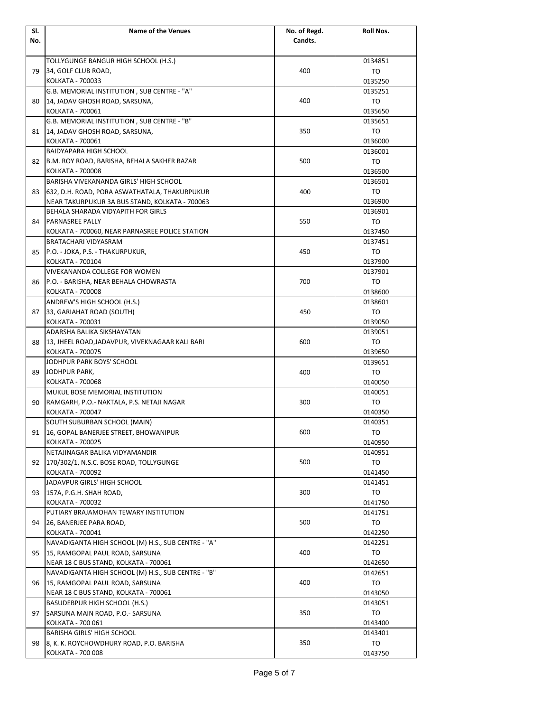| SI. | <b>Name of the Venues</b>                          | No. of Regd. | Roll Nos. |
|-----|----------------------------------------------------|--------------|-----------|
| No. |                                                    | Candts.      |           |
|     |                                                    |              |           |
|     | TOLLYGUNGE BANGUR HIGH SCHOOL (H.S.)               |              | 0134851   |
| 79  | 34, GOLF CLUB ROAD,                                | 400          | TO        |
|     | KOLKATA - 700033                                   |              | 0135250   |
|     | G.B. MEMORIAL INSTITUTION, SUB CENTRE - "A"        |              | 0135251   |
| 80  | 14, JADAV GHOSH ROAD, SARSUNA,                     | 400          | TO        |
|     | KOLKATA - 700061                                   |              | 0135650   |
|     | G.B. MEMORIAL INSTITUTION, SUB CENTRE - "B"        |              | 0135651   |
| 81  | 14, JADAV GHOSH ROAD, SARSUNA,                     | 350          | TO        |
|     | KOLKATA - 700061                                   |              | 0136000   |
|     | <b>BAIDYAPARA HIGH SCHOOL</b>                      |              | 0136001   |
| 82  | B.M. ROY ROAD, BARISHA, BEHALA SAKHER BAZAR        | 500          | TO        |
|     | KOLKATA - 700008                                   |              | 0136500   |
|     | BARISHA VIVEKANANDA GIRLS' HIGH SCHOOL             |              | 0136501   |
| 83  | 632, D.H. ROAD, PORA ASWATHATALA, THAKURPUKUR      | 400          | TO        |
|     | NEAR TAKURPUKUR 3A BUS STAND, KOLKATA - 700063     |              | 0136900   |
|     | BEHALA SHARADA VIDYAPITH FOR GIRLS                 |              | 0136901   |
| 84  | <b>PARNASREE PALLY</b>                             | 550          | TO        |
|     | KOLKATA - 700060, NEAR PARNASREE POLICE STATION    |              | 0137450   |
|     | BRATACHARI VIDYASRAM                               |              | 0137451   |
| 85  | P.O. - JOKA, P.S. - THAKURPUKUR,                   | 450          | TO        |
|     | KOLKATA - 700104                                   |              | 0137900   |
|     | VIVEKANANDA COLLEGE FOR WOMEN                      |              | 0137901   |
| 86  | P.O. - BARISHA, NEAR BEHALA CHOWRASTA              | 700          | TO        |
|     | KOLKATA - 700008                                   |              | 0138600   |
|     | ANDREW'S HIGH SCHOOL (H.S.)                        |              | 0138601   |
| 87  | 33, GARIAHAT ROAD (SOUTH)                          | 450          | TO        |
|     | KOLKATA - 700031                                   |              | 0139050   |
|     | ADARSHA BALIKA SIKSHAYATAN                         |              | 0139051   |
| 88  | 13, JHEEL ROAD, JADAVPUR, VIVEKNAGAAR KALI BARI    | 600          | TO        |
|     | KOLKATA - 700075                                   |              | 0139650   |
|     | JODHPUR PARK BOYS' SCHOOL                          |              | 0139651   |
| 89  | JODHPUR PARK,                                      | 400          | TO        |
|     | KOLKATA - 700068                                   |              | 0140050   |
|     | MUKUL BOSE MEMORIAL INSTITUTION                    |              | 0140051   |
| 90  | RAMGARH, P.O.- NAKTALA, P.S. NETAJI NAGAR          | 300          | TO        |
|     | KOLKATA - 700047                                   |              | 0140350   |
|     | SOUTH SUBURBAN SCHOOL (MAIN)                       |              | 0140351   |
| 91  | 16, GOPAL BANERJEE STREET, BHOWANIPUR              | 600          | TO        |
|     | KOLKATA - 700025                                   |              | 0140950   |
|     | NETAJINAGAR BALIKA VIDYAMANDIR                     |              | 0140951   |
| 92  | 170/302/1, N.S.C. BOSE ROAD, TOLLYGUNGE            | 500          | TO        |
|     | KOLKATA - 700092                                   |              | 0141450   |
|     | JADAVPUR GIRLS' HIGH SCHOOL                        |              | 0141451   |
| 93  | 157A, P.G.H. SHAH ROAD,                            | 300          | TO        |
|     | KOLKATA - 700032                                   |              | 0141750   |
|     | PUTIARY BRAJAMOHAN TEWARY INSTITUTION              |              | 0141751   |
| 94  | 26, BANERJEE PARA ROAD,                            | 500          | TO        |
|     | KOLKATA - 700041                                   |              | 0142250   |
|     | NAVADIGANTA HIGH SCHOOL (M) H.S., SUB CENTRE - "A" |              | 0142251   |
| 95  | 15, RAMGOPAL PAUL ROAD, SARSUNA                    | 400          | TO        |
|     | NEAR 18 C BUS STAND, KOLKATA - 700061              |              | 0142650   |
|     | NAVADIGANTA HIGH SCHOOL (M) H.S., SUB CENTRE - "B" |              | 0142651   |
| 96  | 15, RAMGOPAL PAUL ROAD, SARSUNA                    | 400          | TO        |
|     | NEAR 18 C BUS STAND, KOLKATA - 700061              |              | 0143050   |
|     | BASUDEBPUR HIGH SCHOOL (H.S.)                      |              | 0143051   |
| 97  | SARSUNA MAIN ROAD, P.O.- SARSUNA                   | 350          | TO        |
|     | KOLKATA - 700 061                                  |              | 0143400   |
|     | <b>BARISHA GIRLS' HIGH SCHOOL</b>                  |              | 0143401   |
| 98  | 8, K. K. ROYCHOWDHURY ROAD, P.O. BARISHA           | 350          | TO        |
|     | KOLKATA - 700 008                                  |              | 0143750   |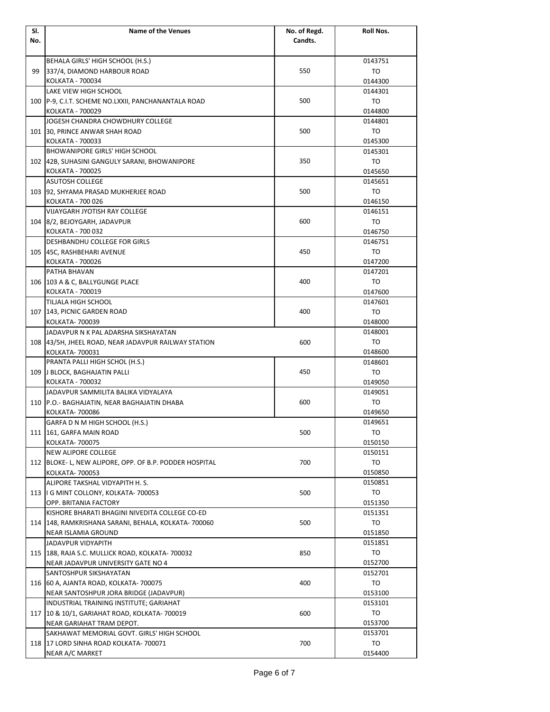| SI. | <b>Name of the Venues</b>                               | No. of Regd. | Roll Nos.     |
|-----|---------------------------------------------------------|--------------|---------------|
| No. |                                                         | Candts.      |               |
|     |                                                         |              |               |
|     | BEHALA GIRLS' HIGH SCHOOL (H.S.)                        |              | 0143751       |
| 99  | 337/4, DIAMOND HARBOUR ROAD                             | 550          | TO            |
|     | KOLKATA - 700034                                        |              | 0144300       |
|     | LAKE VIEW HIGH SCHOOL                                   |              | 0144301       |
|     | 100 P-9, C.I.T. SCHEME NO.LXXII, PANCHANANTALA ROAD     | 500          | TO            |
|     | KOLKATA - 700029                                        |              | 0144800       |
|     | JOGESH CHANDRA CHOWDHURY COLLEGE                        |              | 0144801       |
|     | 101 30, PRINCE ANWAR SHAH ROAD                          | 500          | TO            |
|     | KOLKATA - 700033                                        |              | 0145300       |
|     | <b>BHOWANIPORE GIRLS' HIGH SCHOOL</b>                   |              | 0145301       |
|     | 102 42B, SUHASINI GANGULY SARANI, BHOWANIPORE           | 350          | TO            |
|     | KOLKATA - 700025                                        |              | 0145650       |
|     | <b>ASUTOSH COLLEGE</b>                                  |              | 0145651       |
|     | 103 92, SHYAMA PRASAD MUKHERJEE ROAD                    | 500          | TO            |
|     | KOLKATA - 700 026                                       |              | 0146150       |
|     | VIJAYGARH JYOTISH RAY COLLEGE                           |              | 0146151       |
|     | 104 8/2, BEJOYGARH, JADAVPUR                            | 600          | TO            |
|     | KOLKATA - 700 032                                       |              | 0146750       |
|     | <b>DESHBANDHU COLLEGE FOR GIRLS</b>                     |              | 0146751       |
|     | 105 45C. RASHBEHARI AVENUE                              | 450          | TO            |
|     | KOLKATA - 700026<br>PATHA BHAVAN                        |              | 0147200       |
|     |                                                         | 400          | 0147201<br>TO |
|     | 106 103 A & C, BALLYGUNGE PLACE<br>KOLKATA - 700019     |              | 0147600       |
|     | TILJALA HIGH SCHOOL                                     |              | 0147601       |
|     | 107 143, PICNIC GARDEN ROAD                             | 400          | TO            |
|     | KOLKATA- 700039                                         |              | 0148000       |
|     | JADAVPUR N K PAL ADARSHA SIKSHAYATAN                    |              | 0148001       |
|     | 108 43/5H, JHEEL ROAD, NEAR JADAVPUR RAILWAY STATION    | 600          | TO            |
|     | KOLKATA- 700031                                         |              | 0148600       |
|     | PRANTA PALLI HIGH SCHOL (H.S.)                          |              | 0148601       |
|     | 109 J BLOCK, BAGHAJATIN PALLI                           | 450          | TO            |
|     | KOLKATA - 700032                                        |              | 0149050       |
|     | JADAVPUR SAMMILITA BALIKA VIDYALAYA                     |              | 0149051       |
|     | 110 P.O.- BAGHAJATIN, NEAR BAGHAJATIN DHABA             | 600          | TO            |
|     | KOLKATA- 700086                                         |              | 0149650       |
|     | GARFA D N M HIGH SCHOOL (H.S.)                          |              | 0149651       |
|     | 111 161, GARFA MAIN ROAD                                | 500          | TO            |
|     | KOLKATA- 700075                                         |              | 0150150       |
|     | NEW ALIPORE COLLEGE                                     |              | 0150151       |
|     | 112 BLOKE- L, NEW ALIPORE, OPP. OF B.P. PODDER HOSPITAL | 700          | TO            |
|     | KOLKATA- 700053                                         |              | 0150850       |
|     | ALIPORE TAKSHAL VIDYAPITH H. S.                         |              | 0150851       |
|     | 113   G MINT COLLONY, KOLKATA- 700053                   | 500          | TO            |
|     | OPP. BRITANIA FACTORY                                   |              | 0151350       |
|     | KISHORE BHARATI BHAGINI NIVEDITA COLLEGE CO-ED          |              | 0151351       |
|     | 114   148, RAMKRISHANA SARANI, BEHALA, KOLKATA- 700060  | 500          | TO            |
|     | NEAR ISLAMIA GROUND                                     |              | 0151850       |
|     | JADAVPUR VIDYAPITH                                      |              | 0151851       |
|     | 115   188, RAJA S.C. MULLICK ROAD, KOLKATA- 700032      | 850          | TO            |
|     | NEAR JADAVPUR UNIVERSITY GATE NO 4                      |              | 0152700       |
|     | SANTOSHPUR SIKSHAYATAN                                  |              | 0152701       |
| 116 | 60 A, AJANTA ROAD, KOLKATA- 700075                      | 400          | TO            |
|     | NEAR SANTOSHPUR JORA BRIDGE (JADAVPUR)                  |              | 0153100       |
|     | INDUSTRIAL TRAINING INSTITUTE; GARIAHAT                 |              | 0153101       |
|     | 117   10 & 10/1, GARIAHAT ROAD, KOLKATA- 700019         | 600          | TO            |
|     | NEAR GARIAHAT TRAM DEPOT.                               |              | 0153700       |
|     | SAKHAWAT MEMORIAL GOVT. GIRLS' HIGH SCHOOL              |              | 0153701       |
|     | 118 17 LORD SINHA ROAD KOLKATA- 700071                  | 700          | TO            |
|     | NEAR A/C MARKET                                         |              | 0154400       |